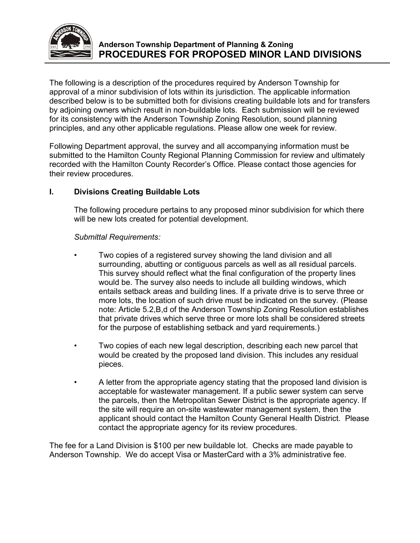

The following is a description of the procedures required by Anderson Township for approval of a minor subdivision of lots within its jurisdiction. The applicable information described below is to be submitted both for divisions creating buildable lots and for transfers by adjoining owners which result in non-buildable lots. Each submission will be reviewed for its consistency with the Anderson Township Zoning Resolution, sound planning principles, and any other applicable regulations. Please allow one week for review.

Following Department approval, the survey and all accompanying information must be submitted to the Hamilton County Regional Planning Commission for review and ultimately recorded with the Hamilton County Recorder's Office. Please contact those agencies for their review procedures.

## **I. Divisions Creating Buildable Lots**

The following procedure pertains to any proposed minor subdivision for which there will be new lots created for potential development.

## *Submittal Requirements:*

- Two copies of a registered survey showing the land division and all surrounding, abutting or contiguous parcels as well as all residual parcels. This survey should reflect what the final configuration of the property lines would be. The survey also needs to include all building windows, which entails setback areas and building lines. If a private drive is to serve three or more lots, the location of such drive must be indicated on the survey. (Please note: Article 5.2,B,d of the Anderson Township Zoning Resolution establishes that private drives which serve three or more lots shall be considered streets for the purpose of establishing setback and yard requirements.)
- Two copies of each new legal description, describing each new parcel that would be created by the proposed land division. This includes any residual pieces.
- A letter from the appropriate agency stating that the proposed land division is acceptable for wastewater management. If a public sewer system can serve the parcels, then the Metropolitan Sewer District is the appropriate agency. If the site will require an on-site wastewater management system, then the applicant should contact the Hamilton County General Health District. Please contact the appropriate agency for its review procedures.

The fee for a Land Division is \$100 per new buildable lot. Checks are made payable to Anderson Township. We do accept Visa or MasterCard with a 3% administrative fee.